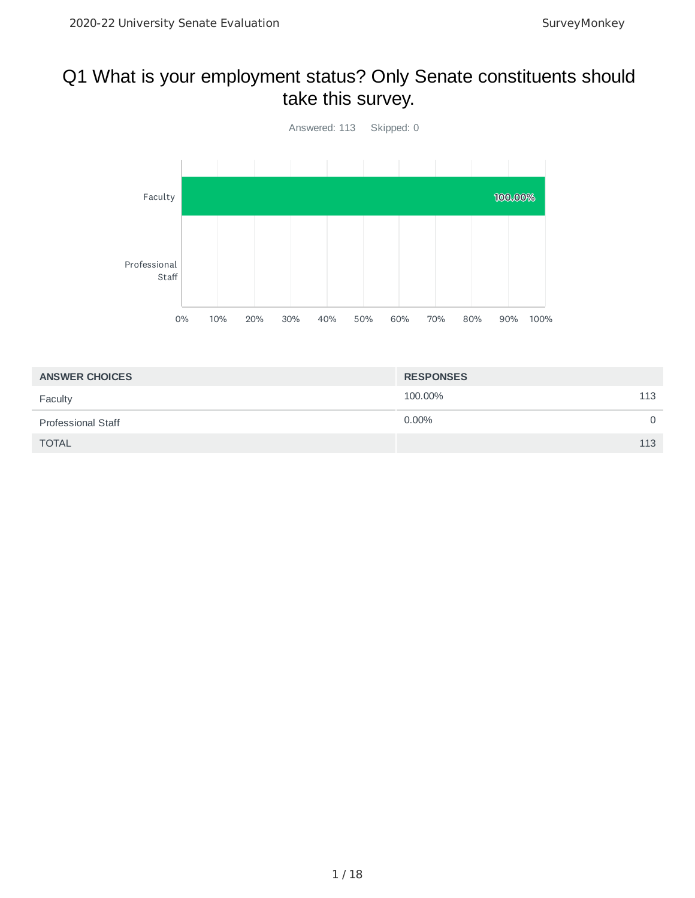#### Q1 What is your employment status? Only Senate constituents should take this survey.



| <b>ANSWER CHOICES</b>     | <b>RESPONSES</b> |          |
|---------------------------|------------------|----------|
| Faculty                   | 100.00%          | 113      |
| <b>Professional Staff</b> | $0.00\%$         | $\Omega$ |
| <b>TOTAL</b>              |                  | 113      |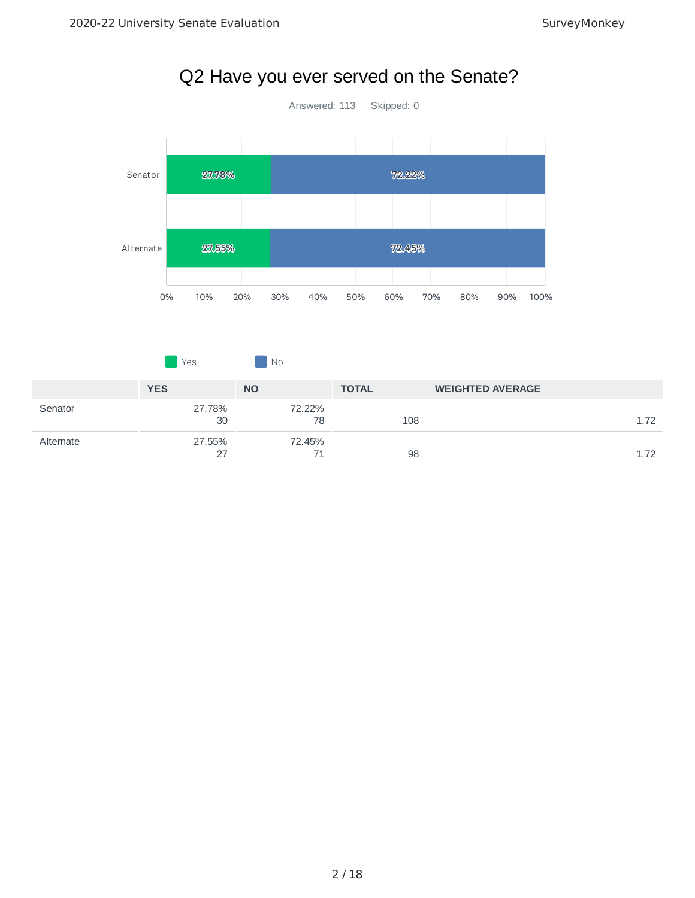

### Q2 Have you ever served on the Senate?

|           | <b>Yes</b>   | No           |              |                         |
|-----------|--------------|--------------|--------------|-------------------------|
|           | <b>YES</b>   | <b>NO</b>    | <b>TOTAL</b> | <b>WEIGHTED AVERAGE</b> |
| Senator   | 27.78%<br>30 | 72.22%<br>78 | 108          | 1.72                    |
| Alternate | 27.55%<br>27 | 72.45%<br>71 | 98           | 1.72                    |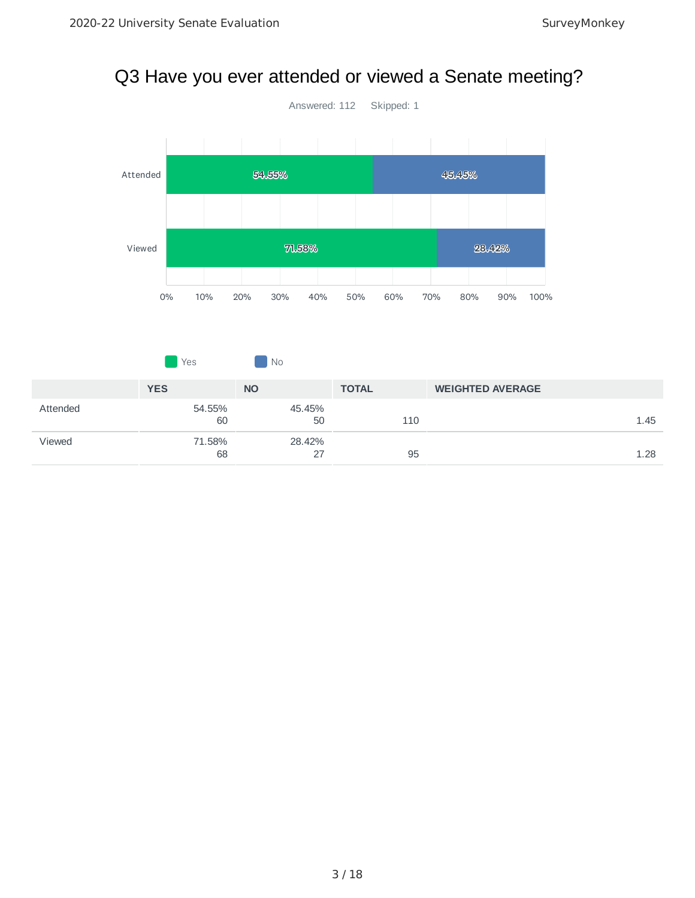# Q3 Have you ever attended or viewed a Senate meeting?



|          | Yes          | $\overline{\phantom{a}}$ No |              |                         |
|----------|--------------|-----------------------------|--------------|-------------------------|
|          | <b>YES</b>   | <b>NO</b>                   | <b>TOTAL</b> | <b>WEIGHTED AVERAGE</b> |
| Attended | 54.55%<br>60 | 45.45%<br>50                | 110          | 1.45                    |
| Viewed   | 71.58%<br>68 | 28.42%<br>27                | 95           | 1.28                    |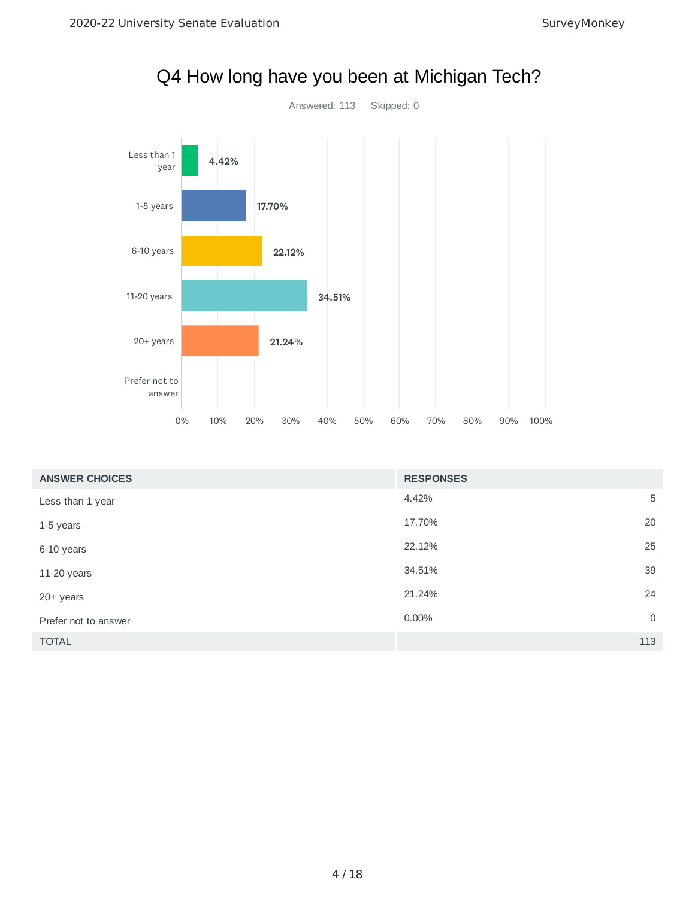

| <b>ANSWER CHOICES</b> | <b>RESPONSES</b>           |
|-----------------------|----------------------------|
| Less than 1 year      | 4.42%<br>5                 |
| 1-5 years             | 20<br>17.70%               |
| 6-10 years            | 25<br>22.12%               |
| 11-20 years           | 39<br>34.51%               |
| 20+ years             | 24<br>21.24%               |
| Prefer not to answer  | $\overline{0}$<br>$0.00\%$ |
| <b>TOTAL</b>          | 113                        |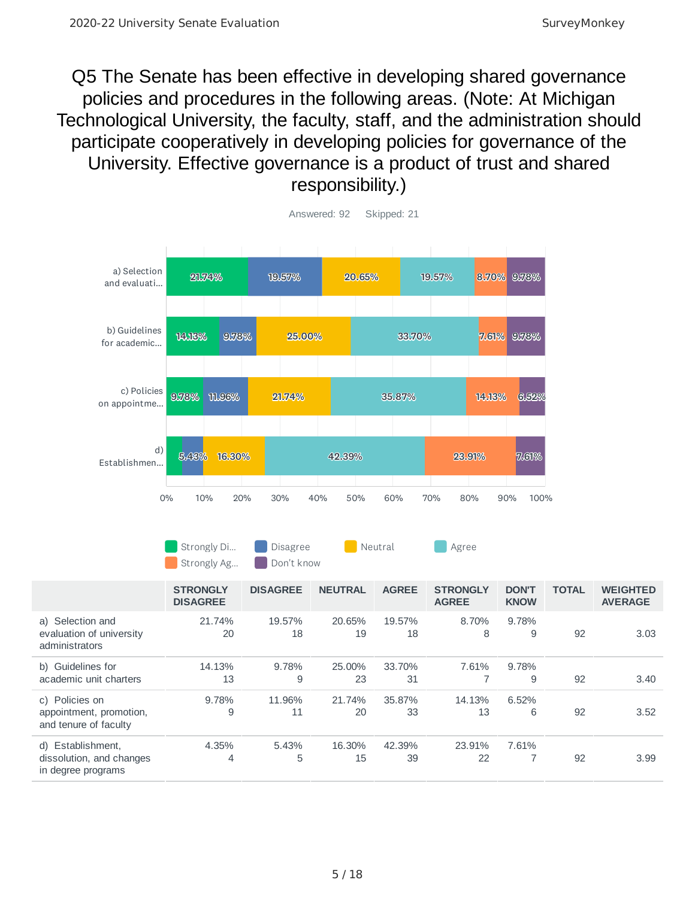Q5 The Senate has been effective in developing shared governance policies and procedures in the following areas. (Note: At Michigan Technological University, the faculty, staff, and the administration should participate cooperatively in developing policies for governance of the University. Effective governance is a product of trust and shared responsibility.)



| Strongly Di | Disagree   | Neutral | Agree |
|-------------|------------|---------|-------|
| Strongly Ag | Don't know |         |       |

|                                                                     | <b>STRONGLY</b><br><b>DISAGREE</b> | <b>DISAGREE</b> | <b>NEUTRAL</b> | <b>AGREE</b> | <b>STRONGLY</b><br><b>AGREE</b> | <b>DON'T</b><br><b>KNOW</b> | <b>TOTAL</b> | <b>WEIGHTED</b><br><b>AVERAGE</b> |
|---------------------------------------------------------------------|------------------------------------|-----------------|----------------|--------------|---------------------------------|-----------------------------|--------------|-----------------------------------|
| a) Selection and<br>evaluation of university<br>administrators      | 21.74%<br>20                       | 19.57%<br>18    | 20.65%<br>19   | 19.57%<br>18 | 8.70%<br>8                      | 9.78%<br>9                  | 92           | 3.03                              |
| b) Guidelines for<br>academic unit charters                         | 14.13%<br>13                       | 9.78%<br>9      | 25.00%<br>23   | 33.70%<br>31 | 7.61%                           | 9.78%<br>9                  | 92           | 3.40                              |
| c) Policies on<br>appointment, promotion,<br>and tenure of faculty  | 9.78%<br>9                         | 11.96%<br>11    | 21.74%<br>20   | 35.87%<br>33 | 14.13%<br>13                    | 6.52%<br>6                  | 92           | 3.52                              |
| d) Establishment,<br>dissolution, and changes<br>in degree programs | 4.35%<br>4                         | 5.43%<br>5      | 16.30%<br>15   | 42.39%<br>39 | 23.91%<br>22                    | 7.61%                       | 92           | 3.99                              |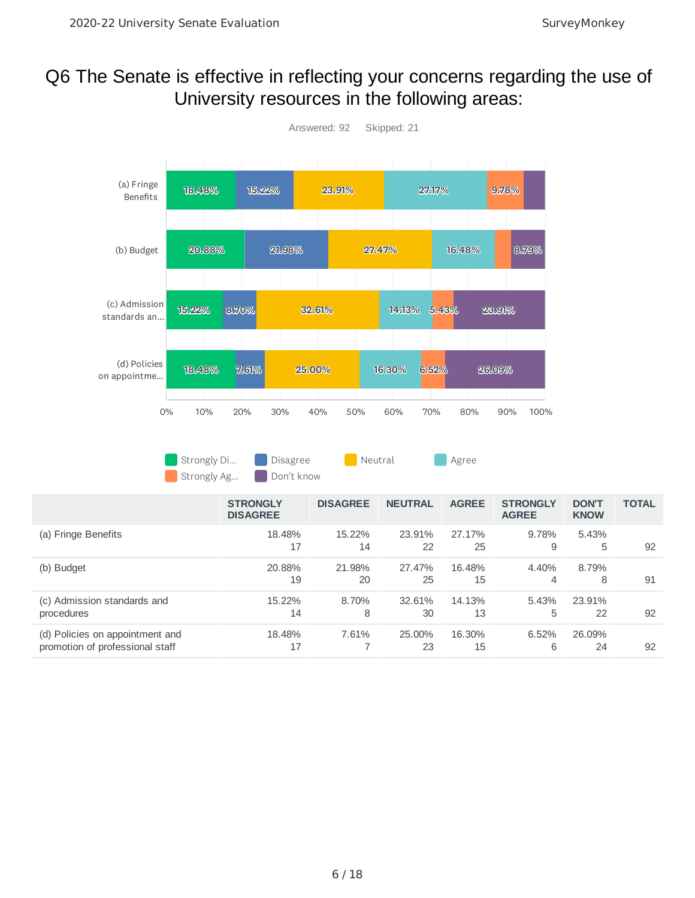#### Q6 The Senate is effective in reflecting your concerns regarding the use of University resources in the following areas:

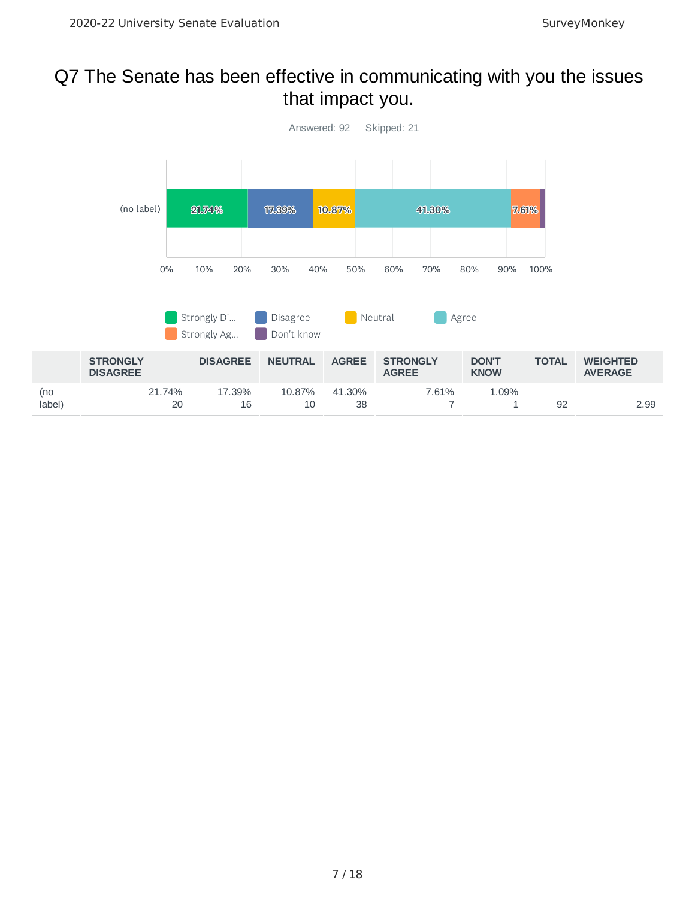#### Q7 The Senate has been effective in communicating with you the issues that impact you.

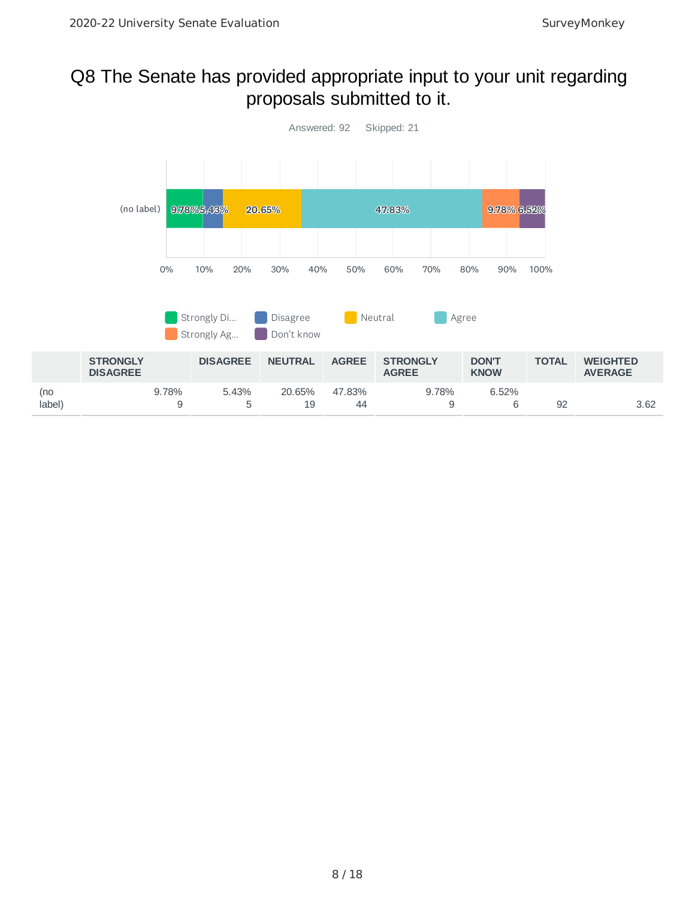#### Q8 The Senate has provided appropriate input to your unit regarding proposals submitted to it.

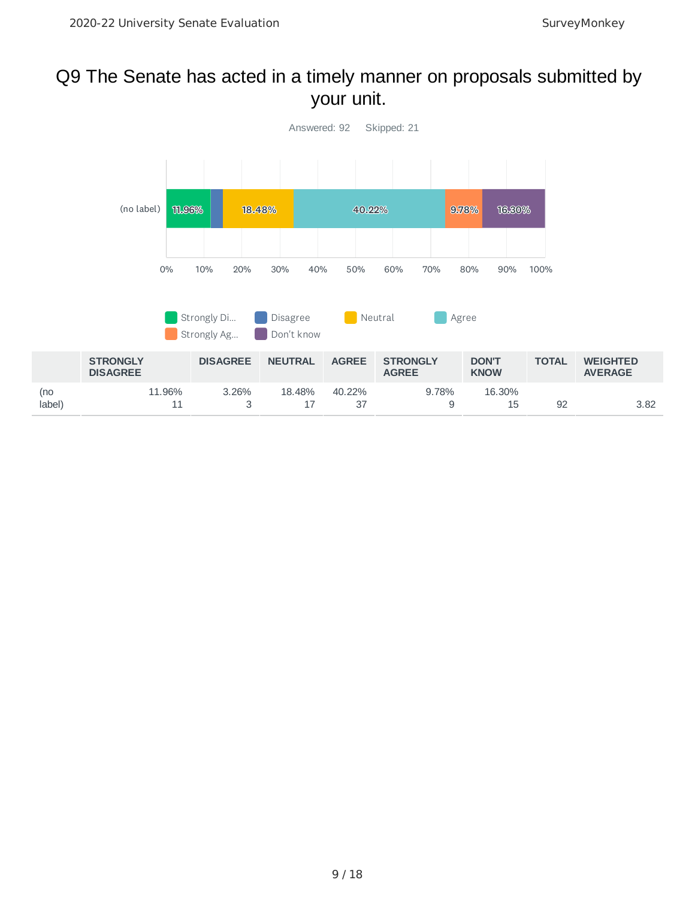#### Q9 The Senate has acted in a timely manner on proposals submitted by your unit.

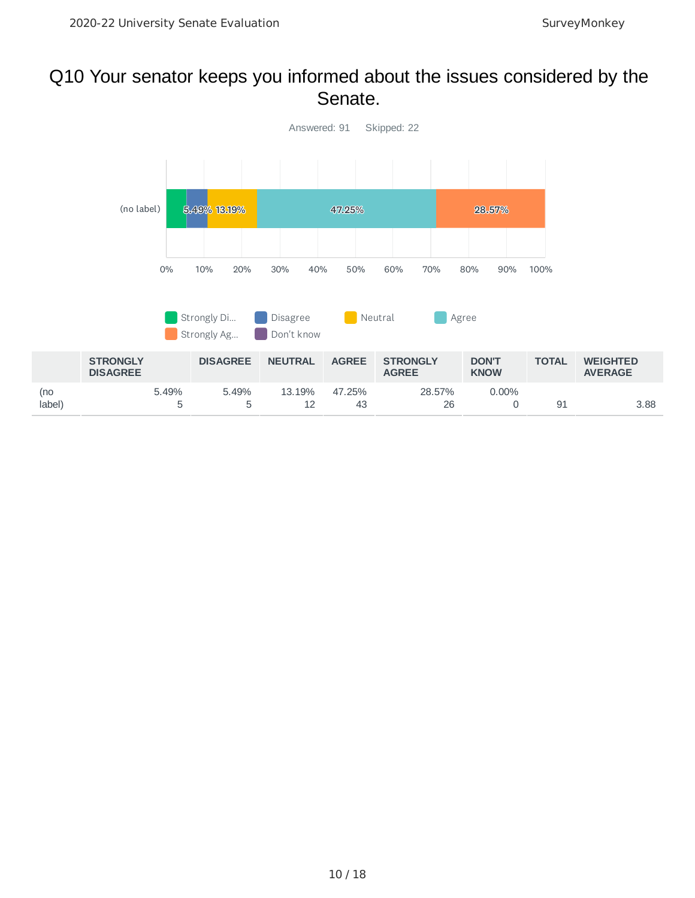#### Q10 Your senator keeps you informed about the issues considered by the Senate.

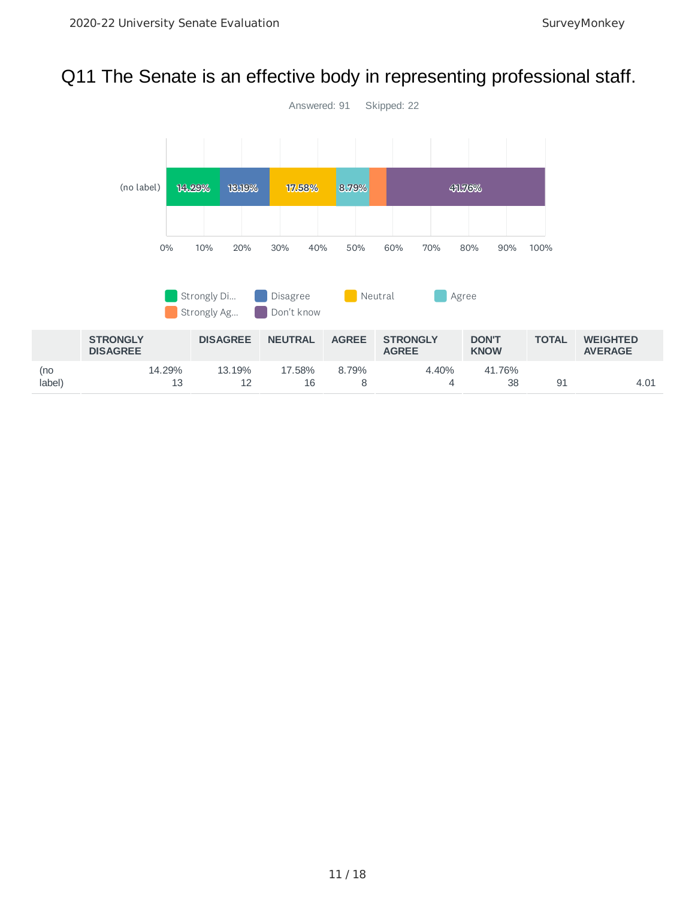#### Q11 The Senate is an effective body in representing professional staff.

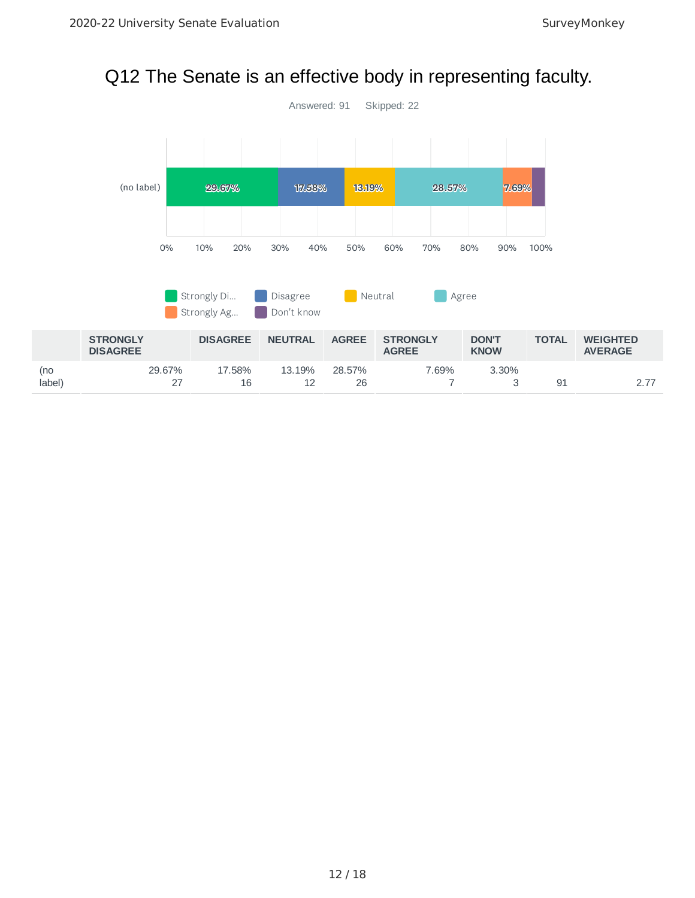#### Q12 The Senate is an effective body in representing faculty.

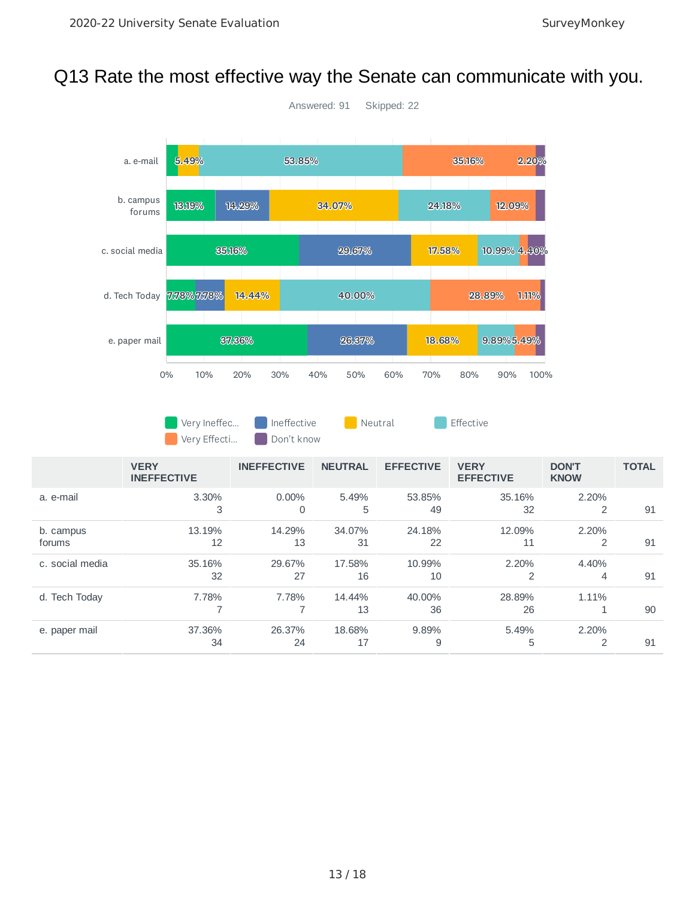#### Q13 Rate the most effective way the Senate can communicate with you.



#### Very Ineffec... Ineffective **Neutral Construction** Effective Very Effecti... Don't know

|                 | <b>VERY</b><br><b>INEFFECTIVE</b> | <b>INEFFECTIVE</b> | <b>NEUTRAL</b> | <b>EFFECTIVE</b> | <b>VERY</b><br><b>EFFECTIVE</b> | <b>DON'T</b><br><b>KNOW</b> | <b>TOTAL</b> |
|-----------------|-----------------------------------|--------------------|----------------|------------------|---------------------------------|-----------------------------|--------------|
| a. e-mail       | 3.30%                             | $0.00\%$           | 5.49%          | 53.85%           | 35.16%                          | 2.20%                       |              |
|                 | 3                                 | 0                  | 5              | 49               | 32                              | 2                           | 91           |
| b. campus       | 13.19%                            | 14.29%             | 34.07%         | 24.18%           | 12.09%                          | 2.20%                       |              |
| forums          | 12                                | 13                 | 31             | 22               | 11                              | 2                           | 91           |
| c. social media | 35.16%                            | 29.67%             | 17.58%         | 10.99%           | 2.20%                           | 4.40%                       |              |
|                 | 32                                | 27                 | 16             | 10               | 2                               | 4                           | 91           |
| d. Tech Today   | 7.78%                             | 7.78%              | 14.44%         | 40.00%           | 28.89%                          | 1.11%                       |              |
|                 |                                   |                    | 13             | 36               | 26                              |                             | 90           |
| e. paper mail   | 37.36%                            | 26.37%             | 18.68%         | 9.89%            | 5.49%                           | 2.20%                       |              |
|                 | 34                                | 24                 | 17             | 9                | 5                               | 2                           | 91           |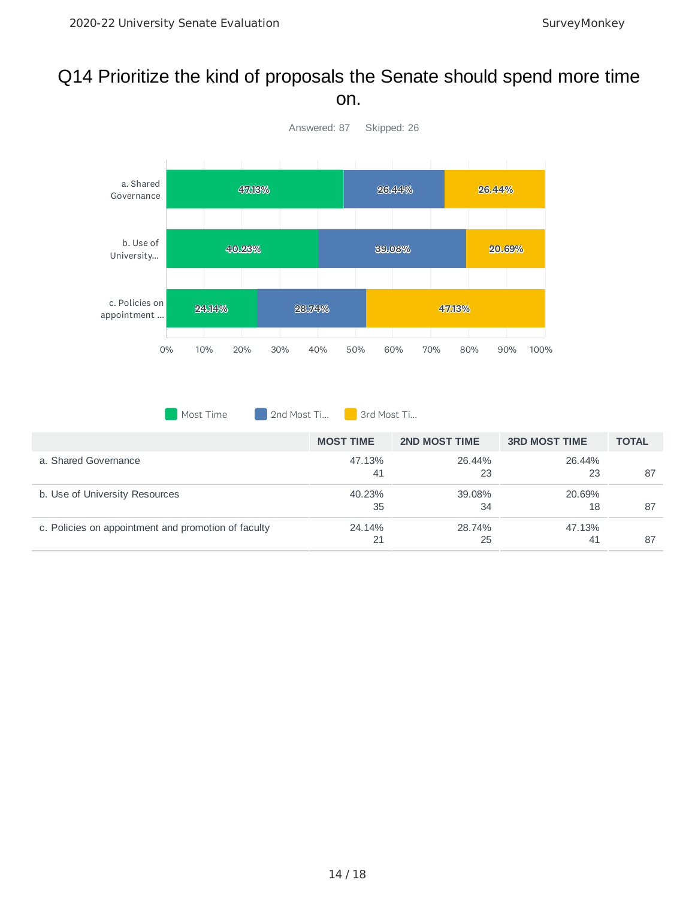#### Q14 Prioritize the kind of proposals the Senate should spend more time on.



Most Time 2nd Most Ti... 3rd Most Ti...

|                                                     | <b>MOST TIME</b> | <b>2ND MOST TIME</b> | <b>3RD MOST TIME</b> | <b>TOTAL</b> |
|-----------------------------------------------------|------------------|----------------------|----------------------|--------------|
| a. Shared Governance                                | 47.13%<br>41     | 26.44%<br>23         | 26.44%<br>23         | 87           |
| b. Use of University Resources                      | 40.23%<br>35     | 39.08%<br>34         | 20.69%<br>18         | 87           |
| c. Policies on appointment and promotion of faculty | 24.14%<br>21     | 28.74%<br>25         | 47.13%<br>41         | 87           |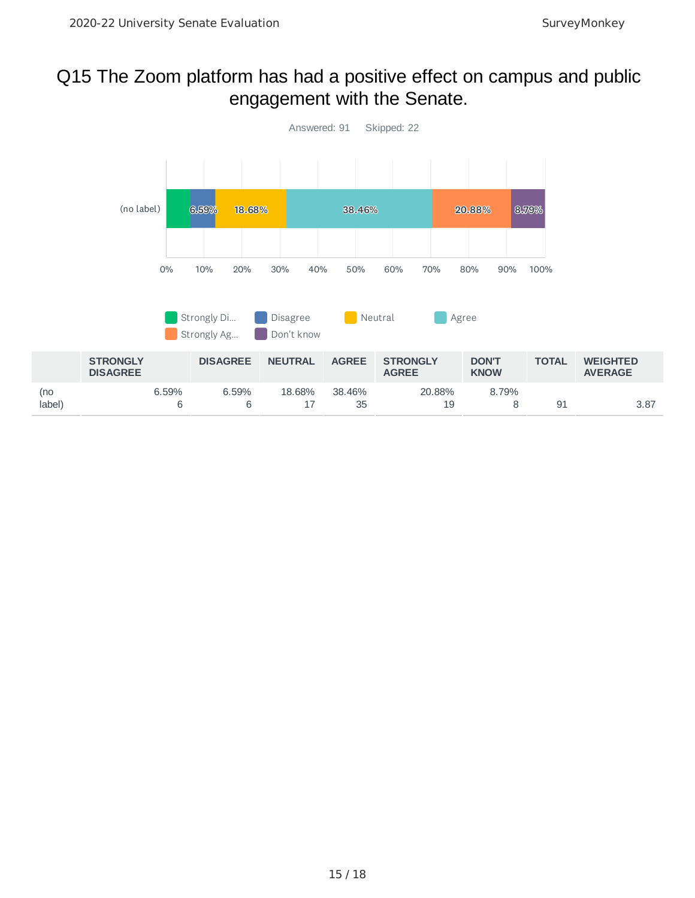#### Q15 The Zoom platform has had a positive effect on campus and public engagement with the Senate.

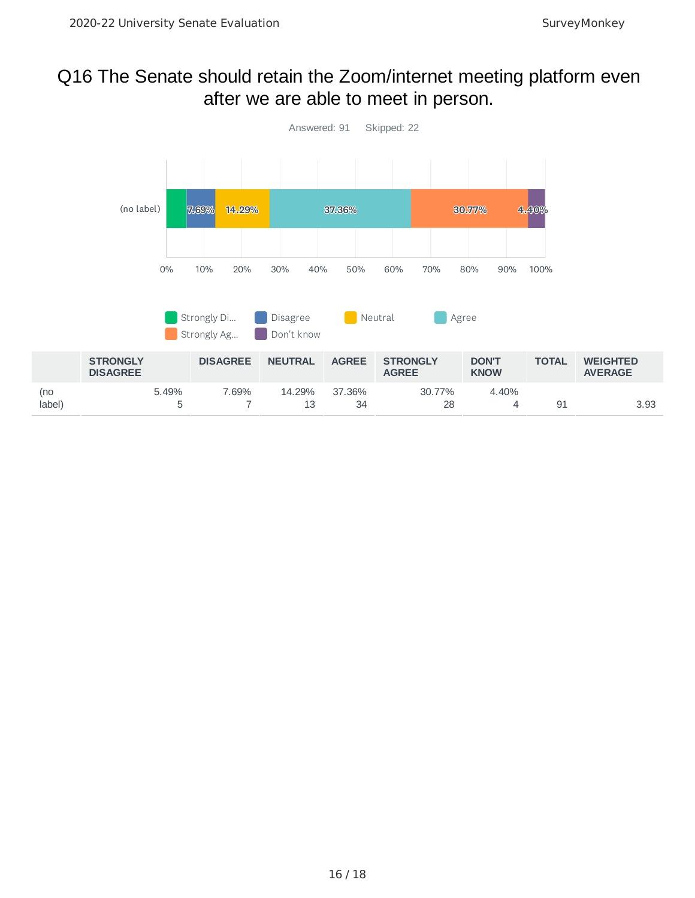#### Q16 The Senate should retain the Zoom/internet meeting platform even after we are able to meet in person.

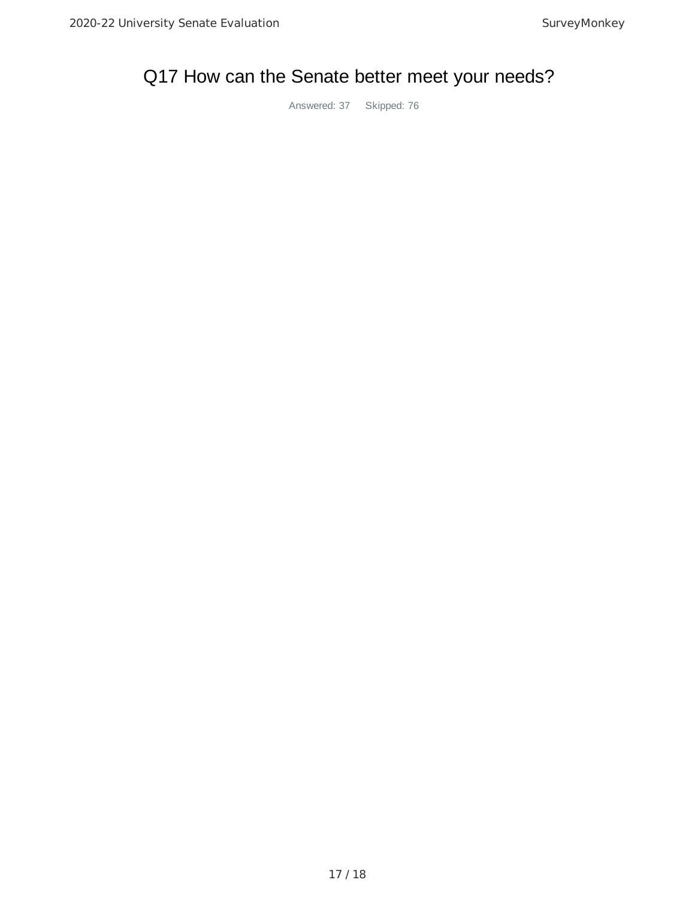# Q17 How can the Senate better meet your needs?

Answered: 37 Skipped: 76